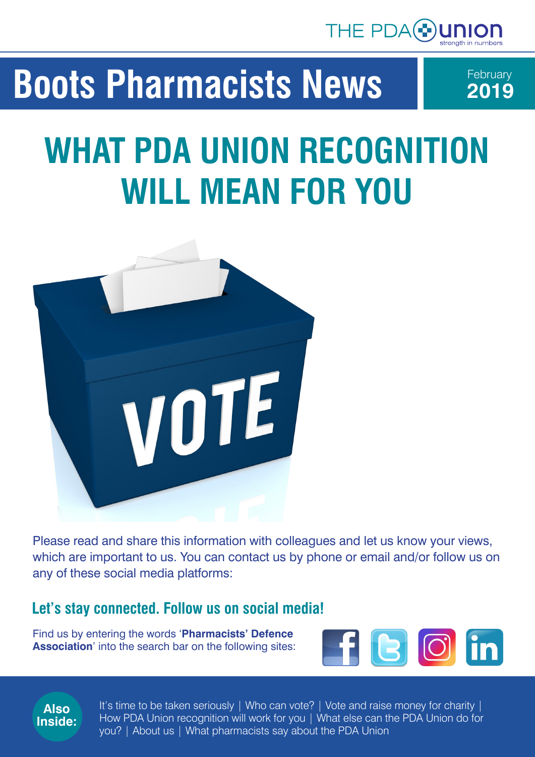

# **Boots Pharmacists News**



# **WHAT PDA UNION RECOGNITION WILL MEAN FOR YOU**



Please read and share this information with colleagues and let us know your views, which are important to us. You can contact us by phone or email and/or follow us on any of these social media platforms:

#### **Let's stay connected. Follow us on social media!**

Find us by entering the words '**Pharmacists' Defence Association**' into the search bar on the following sites:





It's time to be taken seriously | Who can vote? | Vote and raise money for charity | How PDA Union recognition will work for you | What else can the PDA Union do for you? | About us | What pharmacists say about the PDA Union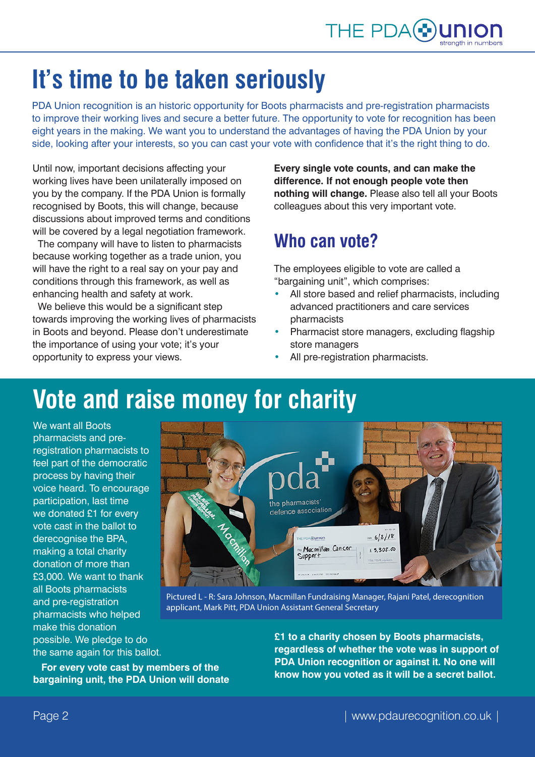## **It's time to be taken seriously**

PDA Union recognition is an historic opportunity for Boots pharmacists and pre-registration pharmacists to improve their working lives and secure a better future. The opportunity to vote for recognition has been eight years in the making. We want you to understand the advantages of having the PDA Union by your side, looking after your interests, so you can cast your vote with confidence that it's the right thing to do.

Until now, important decisions affecting your working lives have been unilaterally imposed on you by the company. If the PDA Union is formally recognised by Boots, this will change, because discussions about improved terms and conditions will be covered by a legal negotiation framework.

 The company will have to listen to pharmacists because working together as a trade union, you will have the right to a real say on your pay and conditions through this framework, as well as enhancing health and safety at work.

 We believe this would be a significant step towards improving the working lives of pharmacists in Boots and beyond. Please don't underestimate the importance of using your vote; it's your opportunity to express your views.

**Every single vote counts, and can make the difference. If not enough people vote then nothing will change.** Please also tell all your Boots colleagues about this very important vote.

#### **Who can vote?**

The employees eligible to vote are called a "bargaining unit", which comprises:

- All store based and relief pharmacists, including advanced practitioners and care services pharmacists
- Pharmacist store managers, excluding flagship store managers
- All pre-registration pharmacists.

## **Vote and raise money for charity**

We want all Boots pharmacists and preregistration pharmacists to feel part of the democratic process by having their voice heard. To encourage participation, last time we donated £1 for every vote cast in the ballot to derecognise the BPA, making a total charity donation of more than £3,000. We want to thank all Boots pharmacists and pre-registration pharmacists who helped make this donation possible. We pledge to do the same again for this ballot.



Pictured L - R: Sara Johnson, Macmillan Fundraising Manager, Rajani Patel, derecognition applicant, Mark Pitt, PDA Union Assistant General Secretary

 **For every vote cast by members of the bargaining unit, the PDA Union will donate**  **£1 to a charity chosen by Boots pharmacists, regardless of whether the vote was in support of PDA Union recognition or against it. No one will know how you voted as it will be a secret ballot.**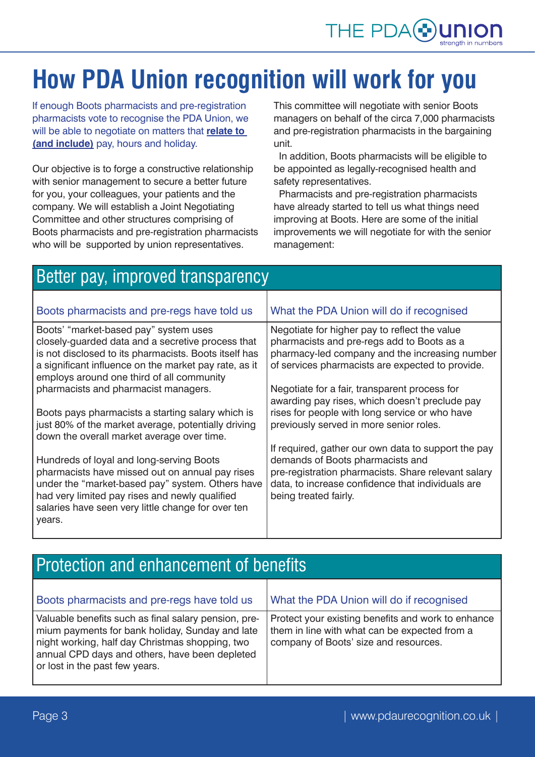

# **How PDA Union recognition will work for you**

If enough Boots pharmacists and pre-registration pharmacists vote to recognise the PDA Union, we will be able to negotiate on matters that **relate to (and include)** pay, hours and holiday.

Our objective is to forge a constructive relationship with senior management to secure a better future for you, your colleagues, your patients and the company. We will establish a Joint Negotiating Committee and other structures comprising of Boots pharmacists and pre-registration pharmacists who will be supported by union representatives.

This committee will negotiate with senior Boots managers on behalf of the circa 7,000 pharmacists and pre-registration pharmacists in the bargaining unit.

 In addition, Boots pharmacists will be eligible to be appointed as legally-recognised health and safety representatives.

 Pharmacists and pre-registration pharmacists have already started to tell us what things need improving at Boots. Here are some of the initial improvements we will negotiate for with the senior management:

| Better pay, improved transparency                                                                                                                                                                                                                                 |                                                                                                                                                                                                                              |
|-------------------------------------------------------------------------------------------------------------------------------------------------------------------------------------------------------------------------------------------------------------------|------------------------------------------------------------------------------------------------------------------------------------------------------------------------------------------------------------------------------|
|                                                                                                                                                                                                                                                                   |                                                                                                                                                                                                                              |
| Boots pharmacists and pre-regs have told us                                                                                                                                                                                                                       | What the PDA Union will do if recognised                                                                                                                                                                                     |
| Boots' "market-based pay" system uses<br>closely-guarded data and a secretive process that<br>is not disclosed to its pharmacists. Boots itself has<br>a significant influence on the market pay rate, as it<br>employs around one third of all community         | Negotiate for higher pay to reflect the value<br>pharmacists and pre-regs add to Boots as a<br>pharmacy-led company and the increasing number<br>of services pharmacists are expected to provide.                            |
| pharmacists and pharmacist managers.<br>Boots pays pharmacists a starting salary which is<br>just 80% of the market average, potentially driving<br>down the overall market average over time.                                                                    | Negotiate for a fair, transparent process for<br>awarding pay rises, which doesn't preclude pay<br>rises for people with long service or who have<br>previously served in more senior roles.                                 |
| Hundreds of loyal and long-serving Boots<br>pharmacists have missed out on annual pay rises<br>under the "market-based pay" system. Others have<br>had very limited pay rises and newly qualified<br>salaries have seen very little change for over ten<br>years. | If required, gather our own data to support the pay<br>demands of Boots pharmacists and<br>pre-registration pharmacists. Share relevant salary<br>data, to increase confidence that individuals are<br>being treated fairly. |

#### Protection and enhancement of benefits

| Boots pharmacists and pre-regs have told us                                                                                                                                                                                                    | What the PDA Union will do if recognised                                                                                                     |
|------------------------------------------------------------------------------------------------------------------------------------------------------------------------------------------------------------------------------------------------|----------------------------------------------------------------------------------------------------------------------------------------------|
| Valuable benefits such as final salary pension, pre-<br>mium payments for bank holiday, Sunday and late<br>night working, half day Christmas shopping, two<br>annual CPD days and others, have been depleted<br>or lost in the past few years. | Protect your existing benefits and work to enhance<br>them in line with what can be expected from a<br>company of Boots' size and resources. |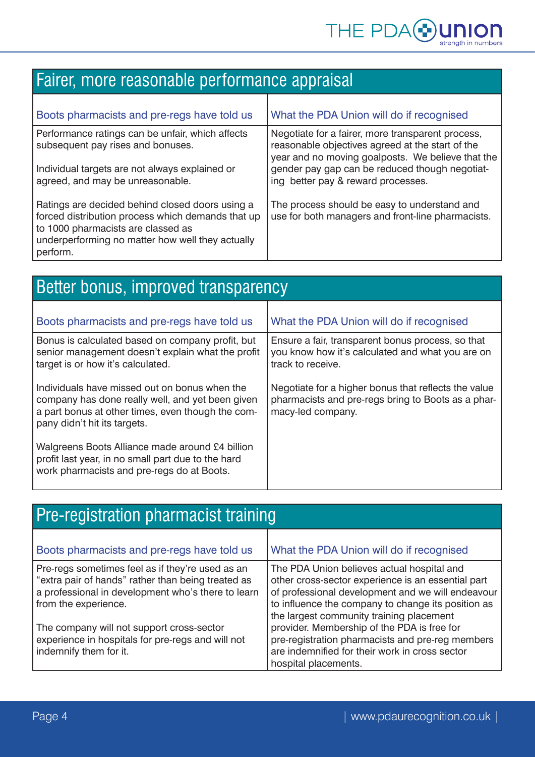### Fairer, more reasonable performance appraisal

| Boots pharmacists and pre-regs have told us                                                                                                                                                                | What the PDA Union will do if recognised                                                                                                                   |
|------------------------------------------------------------------------------------------------------------------------------------------------------------------------------------------------------------|------------------------------------------------------------------------------------------------------------------------------------------------------------|
| Performance ratings can be unfair, which affects<br>subsequent pay rises and bonuses.                                                                                                                      | Negotiate for a fairer, more transparent process,<br>reasonable objectives agreed at the start of the<br>year and no moving goalposts. We believe that the |
| Individual targets are not always explained or<br>agreed, and may be unreasonable.                                                                                                                         | gender pay gap can be reduced though negotiat-<br>ing better pay & reward processes.                                                                       |
| Ratings are decided behind closed doors using a<br>forced distribution process which demands that up<br>to 1000 pharmacists are classed as<br>underperforming no matter how well they actually<br>perform. | The process should be easy to understand and<br>use for both managers and front-line pharmacists.                                                          |

Ť

| Better bonus, improved transparency                                                                                                                                                    |                                                                                                                                 |  |
|----------------------------------------------------------------------------------------------------------------------------------------------------------------------------------------|---------------------------------------------------------------------------------------------------------------------------------|--|
|                                                                                                                                                                                        |                                                                                                                                 |  |
| Boots pharmacists and pre-regs have told us                                                                                                                                            | What the PDA Union will do if recognised                                                                                        |  |
| Bonus is calculated based on company profit, but<br>senior management doesn't explain what the profit<br>target is or how it's calculated.                                             | Ensure a fair, transparent bonus process, so that<br>you know how it's calculated and what you are on<br>track to receive.      |  |
| Individuals have missed out on bonus when the<br>company has done really well, and yet been given<br>a part bonus at other times, even though the com-<br>pany didn't hit its targets. | Negotiate for a higher bonus that reflects the value<br>pharmacists and pre-regs bring to Boots as a phar-<br>macy-led company. |  |
| Walgreens Boots Alliance made around £4 billion<br>profit last year, in no small part due to the hard<br>work pharmacists and pre-regs do at Boots.                                    |                                                                                                                                 |  |

| Pre-registration pharmacist training                                                                                                                                                 |                                                                                                                                                                                                                                                         |
|--------------------------------------------------------------------------------------------------------------------------------------------------------------------------------------|---------------------------------------------------------------------------------------------------------------------------------------------------------------------------------------------------------------------------------------------------------|
| Boots pharmacists and pre-regs have told us                                                                                                                                          | What the PDA Union will do if recognised                                                                                                                                                                                                                |
| Pre-regs sometimes feel as if they're used as an<br>"extra pair of hands" rather than being treated as<br>a professional in development who's there to learn<br>from the experience. | The PDA Union believes actual hospital and<br>other cross-sector experience is an essential part<br>of professional development and we will endeavour<br>to influence the company to change its position as<br>the largest community training placement |
| The company will not support cross-sector<br>experience in hospitals for pre-regs and will not<br>indemnify them for it.                                                             | provider. Membership of the PDA is free for<br>pre-registration pharmacists and pre-reg members<br>are indemnified for their work in cross sector<br>hospital placements.                                                                               |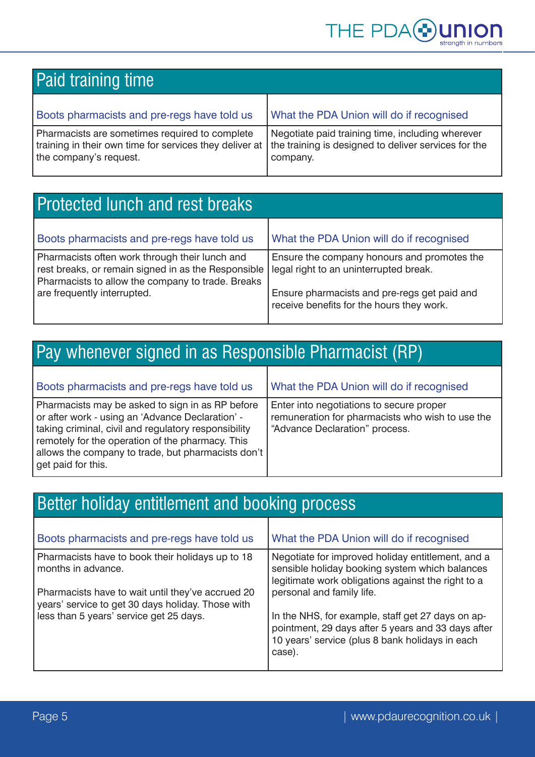

| <b>Paid training time</b>                                                                                                           |                                                                                                                      |
|-------------------------------------------------------------------------------------------------------------------------------------|----------------------------------------------------------------------------------------------------------------------|
| Boots pharmacists and pre-regs have told us                                                                                         | What the PDA Union will do if recognised                                                                             |
| Pharmacists are sometimes required to complete<br>training in their own time for services they deliver at<br>the company's request. | Negotiate paid training time, including wherever<br>the training is designed to deliver services for the<br>company. |

| <b>Protected lunch and rest breaks</b>                                                                                                                                                    |                                                                                                                                                                                    |
|-------------------------------------------------------------------------------------------------------------------------------------------------------------------------------------------|------------------------------------------------------------------------------------------------------------------------------------------------------------------------------------|
| Boots pharmacists and pre-regs have told us                                                                                                                                               | What the PDA Union will do if recognised                                                                                                                                           |
| Pharmacists often work through their lunch and<br>rest breaks, or remain signed in as the Responsible<br>Pharmacists to allow the company to trade. Breaks<br>are frequently interrupted. | Ensure the company honours and promotes the<br>legal right to an uninterrupted break.<br>Ensure pharmacists and pre-regs get paid and<br>receive benefits for the hours they work. |

### Pay whenever signed in as Responsible Pharmacist (RP)

| Boots pharmacists and pre-regs have told us                                                                                                                                                                                                                                                  | What the PDA Union will do if recognised                                                                                       |
|----------------------------------------------------------------------------------------------------------------------------------------------------------------------------------------------------------------------------------------------------------------------------------------------|--------------------------------------------------------------------------------------------------------------------------------|
| Pharmacists may be asked to sign in as RP before<br>or after work - using an 'Advance Declaration' -<br>taking criminal, civil and regulatory responsibility<br>remotely for the operation of the pharmacy. This<br>allows the company to trade, but pharmacists don't<br>get paid for this. | Enter into negotiations to secure proper<br>remuneration for pharmacists who wish to use the<br>"Advance Declaration" process. |

| Better holiday entitlement and booking process                                                                              |                                                                                                                                                                                        |
|-----------------------------------------------------------------------------------------------------------------------------|----------------------------------------------------------------------------------------------------------------------------------------------------------------------------------------|
| Boots pharmacists and pre-regs have told us                                                                                 | What the PDA Union will do if recognised                                                                                                                                               |
| Pharmacists have to book their holidays up to 18<br>months in advance.<br>Pharmacists have to wait until they've accrued 20 | Negotiate for improved holiday entitlement, and a<br>sensible holiday booking system which balances<br>legitimate work obligations against the right to a<br>personal and family life. |
| years' service to get 30 days holiday. Those with<br>less than 5 years' service get 25 days.                                | In the NHS, for example, staff get 27 days on ap-<br>pointment, 29 days after 5 years and 33 days after<br>10 years' service (plus 8 bank holidays in each<br>case).                   |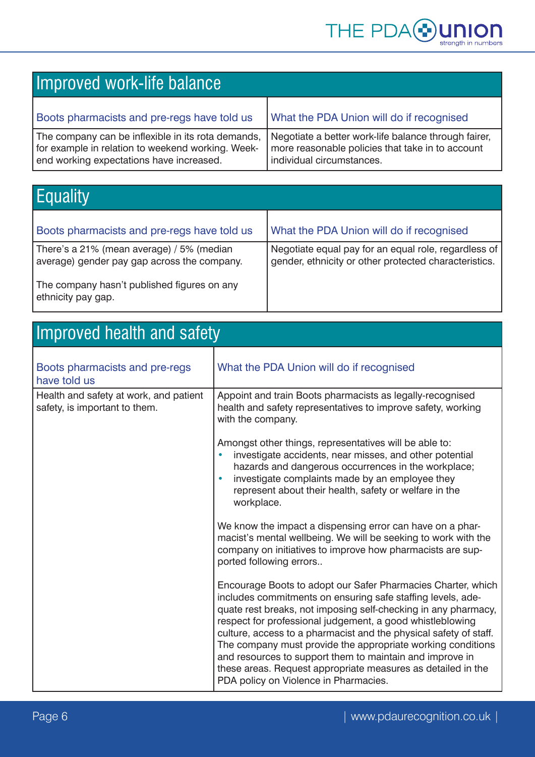

| Improved work-life balance                                                                                                                          |                                                                                                                                       |
|-----------------------------------------------------------------------------------------------------------------------------------------------------|---------------------------------------------------------------------------------------------------------------------------------------|
| Boots pharmacists and pre-regs have told us                                                                                                         | What the PDA Union will do if recognised                                                                                              |
| The company can be inflexible in its rota demands,<br>for example in relation to weekend working. Week-<br>end working expectations have increased. | Negotiate a better work-life balance through fairer,<br>more reasonable policies that take in to account<br>individual circumstances. |

| <b>Equality</b>                                                                          |                                                                                                               |
|------------------------------------------------------------------------------------------|---------------------------------------------------------------------------------------------------------------|
| Boots pharmacists and pre-regs have told us                                              | What the PDA Union will do if recognised                                                                      |
| There's a 21% (mean average) / 5% (median<br>average) gender pay gap across the company. | Negotiate equal pay for an equal role, regardless of<br>gender, ethnicity or other protected characteristics. |
| The company hasn't published figures on any<br>ethnicity pay gap.                        |                                                                                                               |

| <b>Improved health and safety</b>                                       |                                                                                                                                                                                                                                                                                                                                                                                                                                                                                                                                                                     |  |
|-------------------------------------------------------------------------|---------------------------------------------------------------------------------------------------------------------------------------------------------------------------------------------------------------------------------------------------------------------------------------------------------------------------------------------------------------------------------------------------------------------------------------------------------------------------------------------------------------------------------------------------------------------|--|
| Boots pharmacists and pre-regs<br>have told us                          | What the PDA Union will do if recognised                                                                                                                                                                                                                                                                                                                                                                                                                                                                                                                            |  |
| Health and safety at work, and patient<br>safety, is important to them. | Appoint and train Boots pharmacists as legally-recognised<br>health and safety representatives to improve safety, working<br>with the company.                                                                                                                                                                                                                                                                                                                                                                                                                      |  |
|                                                                         | Amongst other things, representatives will be able to:<br>investigate accidents, near misses, and other potential<br>hazards and dangerous occurrences in the workplace;<br>investigate complaints made by an employee they<br>$\bullet$<br>represent about their health, safety or welfare in the<br>workplace.                                                                                                                                                                                                                                                    |  |
|                                                                         | We know the impact a dispensing error can have on a phar-<br>macist's mental wellbeing. We will be seeking to work with the<br>company on initiatives to improve how pharmacists are sup-<br>ported following errors                                                                                                                                                                                                                                                                                                                                                |  |
|                                                                         | Encourage Boots to adopt our Safer Pharmacies Charter, which<br>includes commitments on ensuring safe staffing levels, ade-<br>quate rest breaks, not imposing self-checking in any pharmacy,<br>respect for professional judgement, a good whistleblowing<br>culture, access to a pharmacist and the physical safety of staff.<br>The company must provide the appropriate working conditions<br>and resources to support them to maintain and improve in<br>these areas. Request appropriate measures as detailed in the<br>PDA policy on Violence in Pharmacies. |  |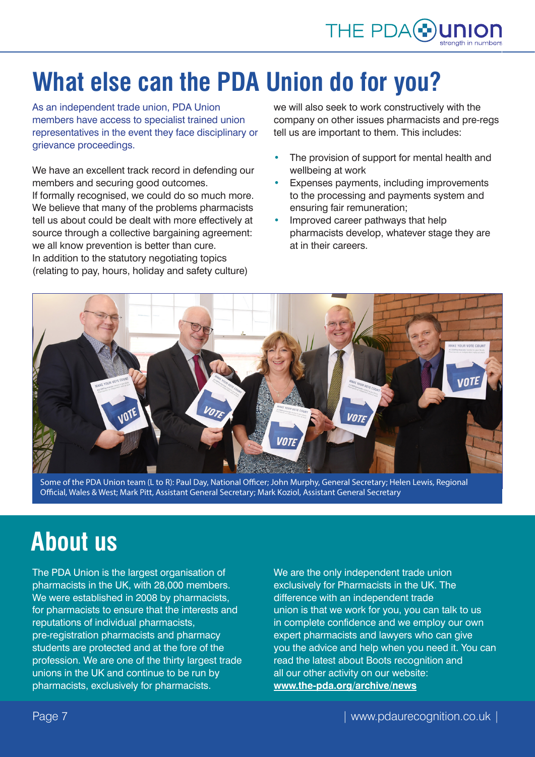# **What else can the PDA Union do for you?**

As an independent trade union, PDA Union members have access to specialist trained union representatives in the event they face disciplinary or grievance proceedings.

We have an excellent track record in defending our members and securing good outcomes. If formally recognised, we could do so much more. We believe that many of the problems pharmacists tell us about could be dealt with more effectively at source through a collective bargaining agreement: we all know prevention is better than cure. In addition to the statutory negotiating topics

(relating to pay, hours, holiday and safety culture)

we will also seek to work constructively with the company on other issues pharmacists and pre-regs tell us are important to them. This includes:

- The provision of support for mental health and wellbeing at work
- Expenses payments, including improvements to the processing and payments system and ensuring fair remuneration;
- Improved career pathways that help pharmacists develop, whatever stage they are at in their careers.



Some of the PDA Union team (L to R): Paul Day, National Officer; John Murphy, General Secretary; Helen Lewis, Regional Official, Wales & West; Mark Pitt, Assistant General Secretary; Mark Koziol, Assistant General Secretary

## **About us**

The PDA Union is the largest organisation of pharmacists in the UK, with 28,000 members. We were established in 2008 by pharmacists. for pharmacists to ensure that the interests and reputations of individual pharmacists, pre-registration pharmacists and pharmacy students are protected and at the fore of the profession. We are one of the thirty largest trade unions in the UK and continue to be run by pharmacists, exclusively for pharmacists.

We are the only independent trade union exclusively for Pharmacists in the UK. The difference with an independent trade union is that we work for you, you can talk to us in complete confidence and we employ our own expert pharmacists and lawyers who can give you the advice and help when you need it. You can read the latest about Boots recognition and all our other activity on our website: **www.the-pda.org/archive/news**